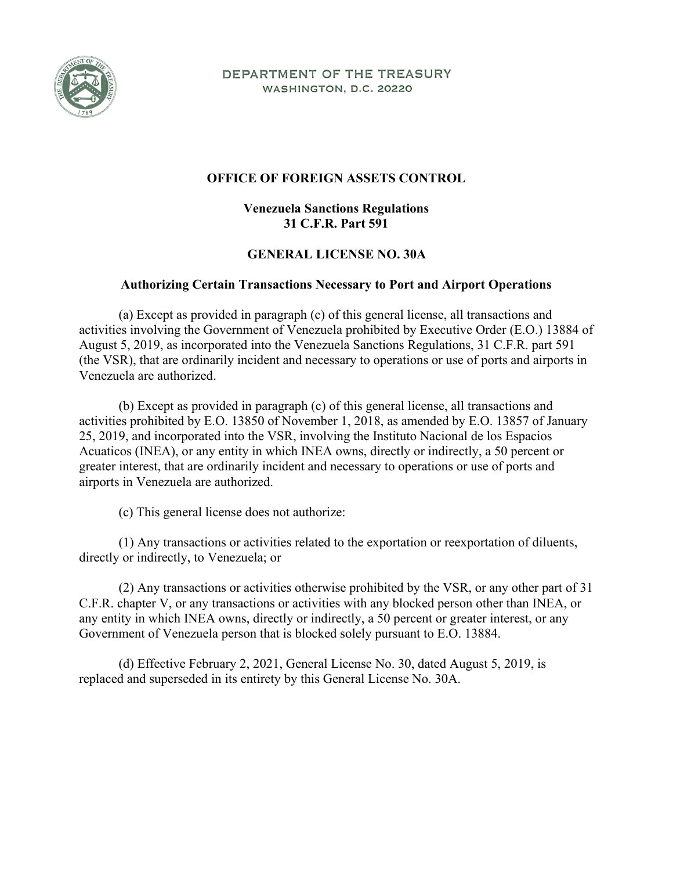

DEPARTMENT OF THE TREASURY WASHINGTON, D.C. 20220

## **OFFICE OF FOREIGN ASSETS CONTROL**

## **Venezuela Sanctions Regulations 31 C.F.R. Part 591**

## **GENERAL LICENSE NO. 30A**

## **Authorizing Certain Transactions Necessary to Port and Airport Operations**

(a) Except as provided in paragraph (c) of this general license, all transactions and activities involving the Government of Venezuela prohibited by Executive Order (E.O.) 13884 of August 5, 2019, as incorporated into the Venezuela Sanctions Regulations, 31 C.F.R. part 591 (the VSR), that are ordinarily incident and necessary to operations or use of ports and airports in Venezuela are authorized.

(b) Except as provided in paragraph (c) of this general license, all transactions and activities prohibited by E.O. 13850 of November 1, 2018, as amended by E.O. 13857 of January 25, 2019, and incorporated into the VSR, involving the Instituto Nacional de los Espacios Acuaticos (INEA), or any entity in which INEA owns, directly or indirectly, a 50 percent or greater interest, that are ordinarily incident and necessary to operations or use of ports and airports in Venezuela are authorized.

(c) This general license does not authorize:

(1) Any transactions or activities related to the exportation or reexportation of diluents, directly or indirectly, to Venezuela; or

(2) Any transactions or activities otherwise prohibited by the VSR, or any other part of 31 C.F.R. chapter V, or any transactions or activities with any blocked person other than INEA, or any entity in which INEA owns, directly or indirectly, a 50 percent or greater interest, or any Government of Venezuela person that is blocked solely pursuant to E.O. 13884.

(d) Effective February 2, 2021, General License No. 30, dated August 5, 2019, is replaced and superseded in its entirety by this General License No. 30A.